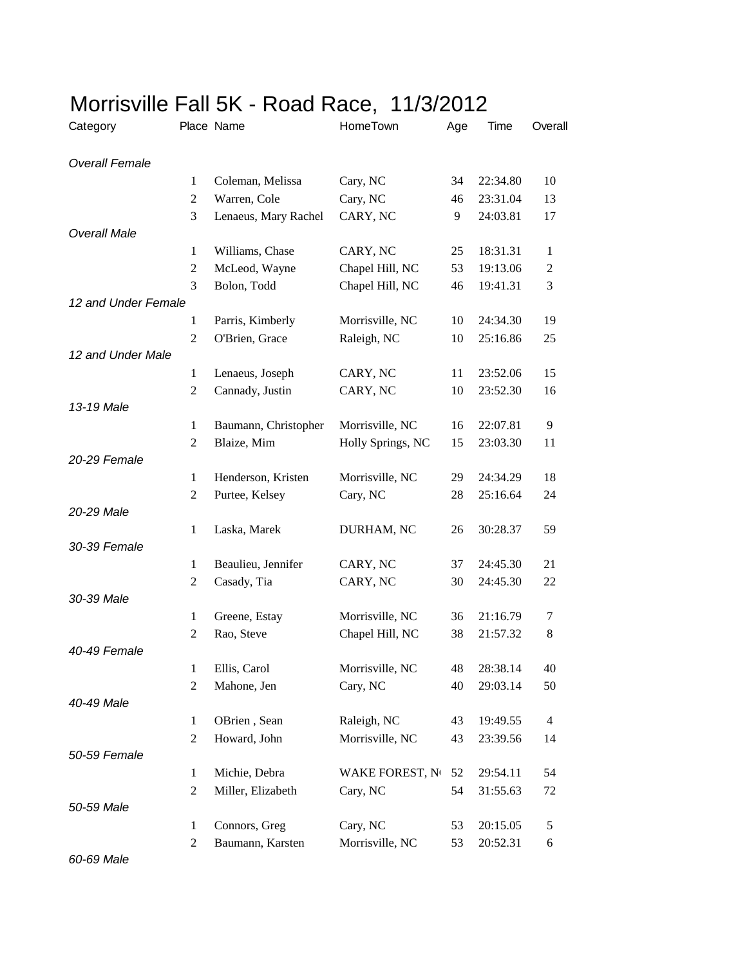| Category              |                | Place Name           | HomeTown          | Age | Time     | Overall        |
|-----------------------|----------------|----------------------|-------------------|-----|----------|----------------|
| <b>Overall Female</b> |                |                      |                   |     |          |                |
|                       | 1              | Coleman, Melissa     | Cary, NC          | 34  | 22:34.80 | 10             |
|                       | 2              | Warren, Cole         | Cary, NC          | 46  | 23:31.04 | 13             |
|                       | 3              | Lenaeus, Mary Rachel | CARY, NC          | 9   | 24:03.81 | 17             |
| <b>Overall Male</b>   |                |                      |                   |     |          |                |
|                       | $\mathbf{1}$   | Williams, Chase      | CARY, NC          | 25  | 18:31.31 | 1              |
|                       | 2              | McLeod, Wayne        | Chapel Hill, NC   | 53  | 19:13.06 | $\overline{c}$ |
|                       | 3              | Bolon, Todd          | Chapel Hill, NC   | 46  | 19:41.31 | 3              |
| 12 and Under Female   |                |                      |                   |     |          |                |
|                       | 1              | Parris, Kimberly     | Morrisville, NC   | 10  | 24:34.30 | 19             |
|                       | $\overline{c}$ | O'Brien, Grace       | Raleigh, NC       | 10  | 25:16.86 | 25             |
| 12 and Under Male     |                |                      |                   |     |          |                |
|                       | $\mathbf{1}$   | Lenaeus, Joseph      | CARY, NC          | 11  | 23:52.06 | 15             |
|                       | $\overline{2}$ | Cannady, Justin      | CARY, NC          | 10  | 23:52.30 | 16             |
| 13-19 Male            |                |                      |                   |     |          |                |
|                       | $\mathbf{1}$   | Baumann, Christopher | Morrisville, NC   | 16  | 22:07.81 | 9              |
|                       | 2              | Blaize, Mim          | Holly Springs, NC | 15  | 23:03.30 | 11             |
| 20-29 Female          |                |                      |                   |     |          |                |
|                       | 1              | Henderson, Kristen   | Morrisville, NC   | 29  | 24:34.29 | 18             |
|                       | 2              | Purtee, Kelsey       | Cary, NC          | 28  | 25:16.64 | 24             |
| 20-29 Male            |                |                      |                   |     |          |                |
|                       | 1              | Laska, Marek         | DURHAM, NC        | 26  | 30:28.37 | 59             |
| 30-39 Female          |                |                      |                   |     |          |                |
|                       | 1              | Beaulieu, Jennifer   | CARY, NC          | 37  | 24:45.30 | 21             |
|                       | 2              | Casady, Tia          | CARY, NC          | 30  | 24:45.30 | 22             |
| 30-39 Male            |                |                      |                   |     |          |                |
|                       | $\mathbf{1}$   | Greene, Estay        | Morrisville, NC   | 36  | 21:16.79 | 7              |
| 40-49 Female          | 2              | Rao, Steve           | Chapel Hill, NC   | 38  | 21:57.32 | 8              |
|                       |                | Ellis, Carol         | Morrisville, NC   | 48  | 28:38.14 | 40             |
|                       | 1              |                      |                   |     |          |                |
| 40-49 Male            | 2              | Mahone, Jen          | Cary, NC          | 40  | 29:03.14 | 50             |
|                       | $\mathbf{1}$   | OBrien, Sean         | Raleigh, NC       | 43  | 19:49.55 | 4              |
|                       | $\overline{2}$ | Howard, John         | Morrisville, NC   | 43  | 23:39.56 | 14             |
| 50-59 Female          |                |                      |                   |     |          |                |
|                       | $\mathbf{1}$   | Michie, Debra        | WAKE FOREST, No   | 52  | 29:54.11 | 54             |
|                       | 2              | Miller, Elizabeth    | Cary, NC          | 54  | 31:55.63 | 72             |
| 50-59 Male            |                |                      |                   |     |          |                |
|                       | $\mathbf{1}$   | Connors, Greg        | Cary, NC          | 53  | 20:15.05 | 5              |
|                       | $\overline{c}$ | Baumann, Karsten     | Morrisville, NC   | 53  | 20:52.31 | 6              |
|                       |                |                      |                   |     |          |                |

## Morrisville Fall 5K - Road Race, 11/3/2012

*60-69 Male*